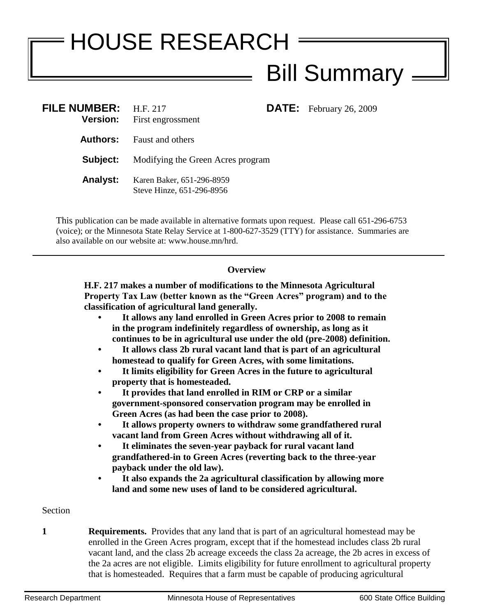## HOUSE RESEARCH Bill Summary

| FILE NUMBER: H.F. 217<br><b>Version:</b> | First engrossment                                      | <b>DATE:</b> February 26, 2009 |
|------------------------------------------|--------------------------------------------------------|--------------------------------|
| Authors:                                 | <b>Faust and others</b>                                |                                |
| Subject:                                 | Modifying the Green Acres program                      |                                |
| <b>Analyst:</b>                          | Karen Baker, 651-296-8959<br>Steve Hinze, 651-296-8956 |                                |

This publication can be made available in alternative formats upon request. Please call 651-296-6753 (voice); or the Minnesota State Relay Service at 1-800-627-3529 (TTY) for assistance. Summaries are also available on our website at: www.house.mn/hrd.

## **Overview**

**H.F. 217 makes a number of modifications to the Minnesota Agricultural Property Tax Law (better known as the "Green Acres" program) and to the classification of agricultural land generally.**

- **It allows any land enrolled in Green Acres prior to 2008 to remain in the program indefinitely regardless of ownership, as long as it continues to be in agricultural use under the old (pre-2008) definition.**
- **It allows class 2b rural vacant land that is part of an agricultural homestead to qualify for Green Acres, with some limitations.**
- **It limits eligibility for Green Acres in the future to agricultural property that is homesteaded.**
- **It provides that land enrolled in RIM or CRP or a similar government-sponsored conservation program may be enrolled in Green Acres (as had been the case prior to 2008).**
- **It allows property owners to withdraw some grandfathered rural vacant land from Green Acres without withdrawing all of it.**
- **It eliminates the seven-year payback for rural vacant land grandfathered-in to Green Acres (reverting back to the three-year payback under the old law).**
- **It also expands the 2a agricultural classification by allowing more land and some new uses of land to be considered agricultural.**

## Section

**1 Requirements.** Provides that any land that is part of an agricultural homestead may be enrolled in the Green Acres program, except that if the homestead includes class 2b rural vacant land, and the class 2b acreage exceeds the class 2a acreage, the 2b acres in excess of the 2a acres are not eligible. Limits eligibility for future enrollment to agricultural property that is homesteaded. Requires that a farm must be capable of producing agricultural